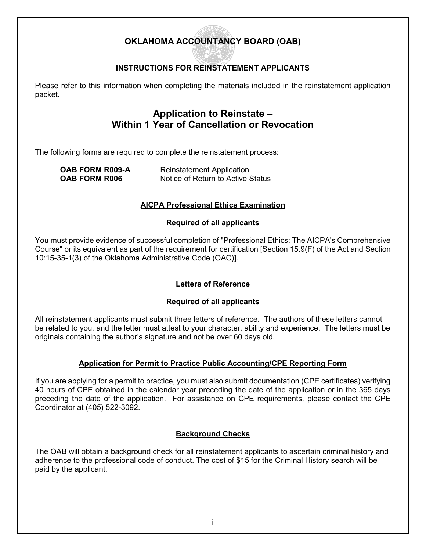# **OKLAHOMA ACCOUNTANCY BOARD (OAB)**

# **INSTRUCTIONS FOR REINSTATEMENT APPLICANTS**

Please refer to this information when completing the materials included in the reinstatement application packet.

# **Application to Reinstate – Within 1 Year of Cancellation or Revocation**

The following forms are required to complete the reinstatement process:

|                      | <b>OAB FORM R009-A</b> |
|----------------------|------------------------|
| <b>OAB FORM R006</b> |                        |

**Reinstatement Application Notice of Return to Active Status** 

### **AICPA Professional Ethics Examination**

### **Required of all applicants**

You must provide evidence of successful completion of "Professional Ethics: The AICPA's Comprehensive Course" or its equivalent as part of the requirement for certification [Section 15.9(F) of the Act and Section 10:15-35-1(3) of the Oklahoma Administrative Code (OAC)].

### **Letters of Reference**

### **Required of all applicants**

All reinstatement applicants must submit three letters of reference. The authors of these letters cannot be related to you, and the letter must attest to your character, ability and experience. The letters must be originals containing the author's signature and not be over 60 days old.

### **Application for Permit to Practice Public Accounting/CPE Reporting Form**

If you are applying for a permit to practice, you must also submit documentation (CPE certificates) verifying 40 hours of CPE obtained in the calendar year preceding the date of the application or in the 365 days preceding the date of the application. For assistance on CPE requirements, please contact the CPE Coordinator at (405) 522-3092.

### **Background Checks**

The OAB will obtain a background check for all reinstatement applicants to ascertain criminal history and adherence to the professional code of conduct. The cost of \$15 for the Criminal History search will be paid by the applicant.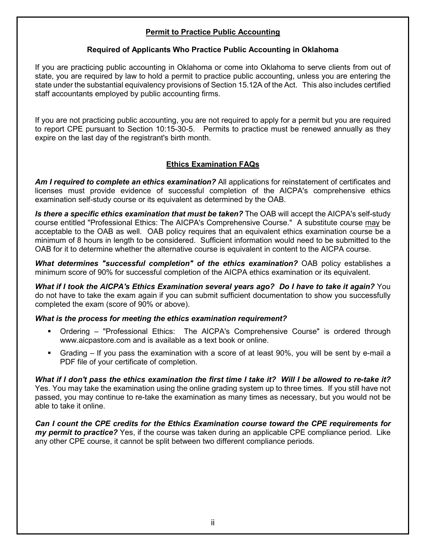## **Permit to Practice Public Accounting**

### **Required of Applicants Who Practice Public Accounting in Oklahoma**

If you are practicing public accounting in Oklahoma or come into Oklahoma to serve clients from out of state, you are required by law to hold a permit to practice public accounting, unless you are entering the state under the substantial equivalency provisions of Section 15.12A of the Act. This also includes certified staff accountants employed by public accounting firms.

If you are not practicing public accounting, you are not required to apply for a permit but you are required to report CPE pursuant to Section 10:15-30-5. Permits to practice must be renewed annually as they expire on the last day of the registrant's birth month.

### **Ethics Examination FAQs**

*Am I required to complete an ethics examination?* All applications for reinstatement of certificates and licenses must provide evidence of successful completion of the AICPA's comprehensive ethics examination self-study course or its equivalent as determined by the OAB.

*Is there a specific ethics examination that must be taken?* The OAB will accept the AICPA's self-study course entitled "Professional Ethics: The AICPA's Comprehensive Course." A substitute course may be acceptable to the OAB as well. OAB policy requires that an equivalent ethics examination course be a minimum of 8 hours in length to be considered. Sufficient information would need to be submitted to the OAB for it to determine whether the alternative course is equivalent in content to the AICPA course.

*What determines "successful completion" of the ethics examination?* OAB policy establishes a minimum score of 90% for successful completion of the AICPA ethics examination or its equivalent.

*What if I took the AICPA's Ethics Examination several years ago? Do I have to take it again?* You do not have to take the exam again if you can submit sufficient documentation to show you successfully completed the exam (score of 90% or above).

### *What is the process for meeting the ethics examination requirement?*

- Ordering "Professional Ethics: The AICPA's Comprehensive Course" is ordered through www.aicpastore.com and is available as a text book or online.
- Grading If you pass the examination with a score of at least 90%, you will be sent by e-mail a PDF file of your certificate of completion.

*What if I don't pass the ethics examination the first time I take it? Will I be allowed to re-take it?* Yes. You may take the examination using the online grading system up to three times. If you still have not passed, you may continue to re-take the examination as many times as necessary, but you would not be able to take it online.

*Can I count the CPE credits for the Ethics Examination course toward the CPE requirements for my permit to practice?* Yes, if the course was taken during an applicable CPE compliance period. Like any other CPE course, it cannot be split between two different compliance periods.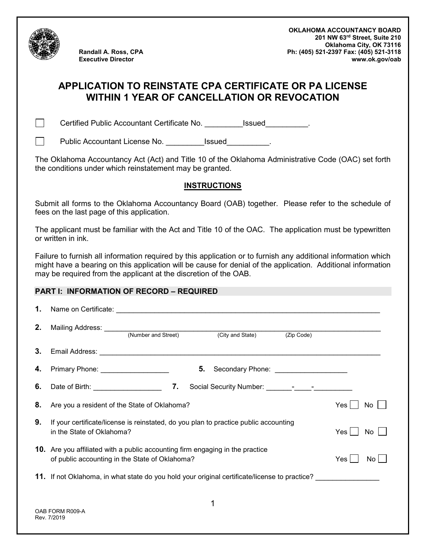

**Randall A. Ross, CPA Executive Director**

**OKLAHOMA ACCOUNTANCY BOARD 201 NW 63rd Street, Suite 210 Oklahoma City, OK 73116 Ph: (405) 521-2397 Fax: (405) 521-3118 www.ok.gov/oab**

# **APPLICATION TO REINSTATE CPA CERTIFICATE OR PA LICENSE WITHIN 1 YEAR OF CANCELLATION OR REVOCATION**

 $\Box$ 

 $\Box$ 

Certified Public Accountant Certificate No. \_\_\_\_\_\_\_\_\_Issued\_\_\_\_\_\_\_\_\_\_.

Public Accountant License No. \_\_\_\_\_\_\_\_\_\_Issued \_\_\_\_\_\_\_\_.

The Oklahoma Accountancy Act (Act) and Title 10 of the Oklahoma Administrative Code (OAC) set forth the conditions under which reinstatement may be granted.

### **INSTRUCTIONS**

Submit all forms to the Oklahoma Accountancy Board (OAB) together. Please refer to the schedule of fees on the last page of this application.

The applicant must be familiar with the Act and Title 10 of the OAC. The application must be typewritten or written in ink.

Failure to furnish all information required by this application or to furnish any additional information which might have a bearing on this application will be cause for denial of the application. Additional information may be required from the applicant at the discretion of the OAB.

### **PART I: INFORMATION OF RECORD – REQUIRED**

| 1. | Name on Certificate: <u>contract and a series of the series of the series of the series of the series of the series of the series of the series of the series of the series of the series of the series of the series of the ser</u> |  |  |
|----|--------------------------------------------------------------------------------------------------------------------------------------------------------------------------------------------------------------------------------------|--|--|
| 2. | Mailing Address: <u>With Mailing</u> Address: <u>With Mumber and Street</u><br>(City and State)<br>(Zip Code)                                                                                                                        |  |  |
| 3. |                                                                                                                                                                                                                                      |  |  |
| 4. | Primary Phone: ____________________<br>5.<br>Secondary Phone: _____________________                                                                                                                                                  |  |  |
| 6. |                                                                                                                                                                                                                                      |  |  |
| 8. | Are you a resident of the State of Oklahoma?<br>Yes  <br>No                                                                                                                                                                          |  |  |
| 9. | If your certificate/license is reinstated, do you plan to practice public accounting<br>in the State of Oklahoma?<br>Yes I<br>No.                                                                                                    |  |  |
|    | <b>10.</b> Are you affiliated with a public accounting firm engaging in the practice<br>of public accounting in the State of Oklahoma?<br>Yes l<br>No.                                                                               |  |  |
|    | <b>11.</b> If not Oklahoma, in what state do you hold your original certificate/license to practice?                                                                                                                                 |  |  |
|    | 1<br>OAB FORM R009-A<br>Rev. 7/2019                                                                                                                                                                                                  |  |  |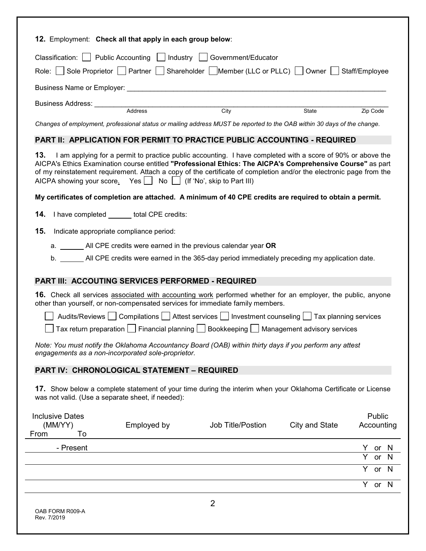|                                                   |                                                                  | Classification:     Public Accounting     Industry     Government/Educator                                                                                                                                                                                                                                                                       |                |                      |
|---------------------------------------------------|------------------------------------------------------------------|--------------------------------------------------------------------------------------------------------------------------------------------------------------------------------------------------------------------------------------------------------------------------------------------------------------------------------------------------|----------------|----------------------|
|                                                   |                                                                  | Role: Sole Proprietor   Partner   Shareholder   Member (LLC or PLLC)   Owner   Staff/Employee                                                                                                                                                                                                                                                    |                |                      |
|                                                   |                                                                  |                                                                                                                                                                                                                                                                                                                                                  |                |                      |
|                                                   |                                                                  |                                                                                                                                                                                                                                                                                                                                                  |                |                      |
|                                                   |                                                                  | City                                                                                                                                                                                                                                                                                                                                             | State          | Zip Code             |
|                                                   |                                                                  | Changes of employment, professional status or mailing address MUST be reported to the OAB within 30 days of the change.                                                                                                                                                                                                                          |                |                      |
|                                                   |                                                                  | <b>PART II: APPLICATION FOR PERMIT TO PRACTICE PUBLIC ACCOUNTING - REQUIRED</b>                                                                                                                                                                                                                                                                  |                |                      |
| 13.                                               | AICPA showing your score. Yes   No   (If 'No', skip to Part III) | I am applying for a permit to practice public accounting. I have completed with a score of 90% or above the<br>AICPA's Ethics Examination course entitled "Professional Ethics: The AICPA's Comprehensive Course" as part<br>of my reinstatement requirement. Attach a copy of the certificate of completion and/or the electronic page from the |                |                      |
|                                                   |                                                                  | My certificates of completion are attached. A minimum of 40 CPE credits are required to obtain a permit.                                                                                                                                                                                                                                         |                |                      |
| 14.                                               | I have completed _______ total CPE credits:                      |                                                                                                                                                                                                                                                                                                                                                  |                |                      |
| 15.                                               | Indicate appropriate compliance period:                          |                                                                                                                                                                                                                                                                                                                                                  |                |                      |
|                                                   |                                                                  | a. _________ All CPE credits were earned in the previous calendar year OR                                                                                                                                                                                                                                                                        |                |                      |
|                                                   |                                                                  | b. All CPE credits were earned in the 365-day period immediately preceding my application date.                                                                                                                                                                                                                                                  |                |                      |
|                                                   |                                                                  |                                                                                                                                                                                                                                                                                                                                                  |                |                      |
|                                                   | <b>PART III: ACCOUTING SERVICES PERFORMED - REQUIRED</b>         |                                                                                                                                                                                                                                                                                                                                                  |                |                      |
|                                                   |                                                                  | 16. Check all services associated with accounting work performed whether for an employer, the public, anyone<br>other than yourself, or non-compensated services for immediate family members.                                                                                                                                                   |                |                      |
|                                                   |                                                                  | Audits/Reviews Compilations Attest services Investment counseling Tax planning services                                                                                                                                                                                                                                                          |                |                      |
|                                                   |                                                                  | Tax return preparation $\Box$ Financial planning $\Box$ Bookkeeping $\Box$ Management advisory services                                                                                                                                                                                                                                          |                |                      |
|                                                   | engagements as a non-incorporated sole-proprietor.               | Note: You must notify the Oklahoma Accountancy Board (OAB) within thirty days if you perform any attest                                                                                                                                                                                                                                          |                |                      |
|                                                   | PART IV: CHRONOLOGICAL STATEMENT - REQUIRED                      |                                                                                                                                                                                                                                                                                                                                                  |                |                      |
| was not valid. (Use a separate sheet, if needed): |                                                                  | 17. Show below a complete statement of your time during the interim when your Oklahoma Certificate or License                                                                                                                                                                                                                                    |                |                      |
| <b>Inclusive Dates</b><br>(MM/YY)<br>From<br>To   | Employed by                                                      | Job Title/Postion                                                                                                                                                                                                                                                                                                                                | City and State | Public<br>Accounting |
| - Present                                         |                                                                  |                                                                                                                                                                                                                                                                                                                                                  |                | Y.<br>or<br>N        |
|                                                   |                                                                  |                                                                                                                                                                                                                                                                                                                                                  |                | N<br>or              |
|                                                   |                                                                  |                                                                                                                                                                                                                                                                                                                                                  |                | or N<br>Y            |
|                                                   |                                                                  |                                                                                                                                                                                                                                                                                                                                                  |                | Y or N               |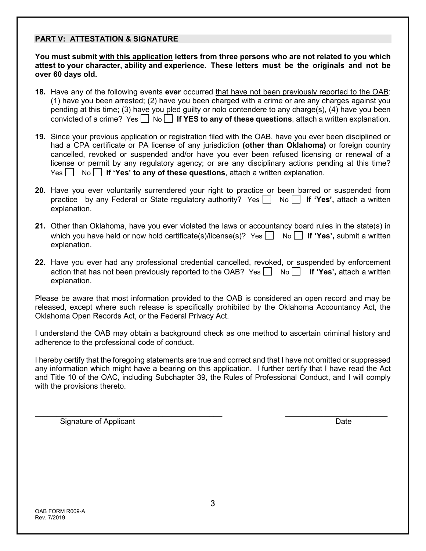### **PART V: ATTESTATION & SIGNATURE**

**You must submit with this application letters from three persons who are not related to you which attest to your character, ability and experience. These letters must be the originals and not be over 60 days old.**

- **18.** Have any of the following events **ever** occurred that have not been previously reported to the OAB: (1) have you been arrested; (2) have you been charged with a crime or are any charges against you pending at this time; (3) have you pled guilty or nolo contendere to any charge(s), (4) have you been convicted of a crime? Yes  $\Box$  No  $\Box$  If YES to any of these questions, attach a written explanation.
- **19.** Since your previous application or registration filed with the OAB, have you ever been disciplined or had a CPA certificate or PA license of any jurisdiction **(other than Oklahoma)** or foreign country cancelled, revoked or suspended and/or have you ever been refused licensing or renewal of a license or permit by any regulatory agency; or are any disciplinary actions pending at this time? Yes No **If 'Yes' to any of these questions**, attach a written explanation.
- **20.** Have you ever voluntarily surrendered your right to practice or been barred or suspended from practice by any Federal or State regulatory authority? Yes No **If 'Yes',** attach a written explanation.
- **21.** Other than Oklahoma, have you ever violated the laws or accountancy board rules in the state(s) in which you have held or now hold certificate(s)/license(s)? Yes  $\vert$  No  $\vert$  **If 'Yes'**, submit a written explanation.
- **22.** Have you ever had any professional credential cancelled, revoked, or suspended by enforcement action that has not been previously reported to the OAB?  $Yes \Box No \Box$  If 'Yes', attach a written explanation.

Please be aware that most information provided to the OAB is considered an open record and may be released, except where such release is specifically prohibited by the Oklahoma Accountancy Act, the Oklahoma Open Records Act, or the Federal Privacy Act.

I understand the OAB may obtain a background check as one method to ascertain criminal history and adherence to the professional code of conduct.

I hereby certify that the foregoing statements are true and correct and that I have not omitted or suppressed any information which might have a bearing on this application. I further certify that I have read the Act and Title 10 of the OAC, including Subchapter 39, the Rules of Professional Conduct, and I will comply with the provisions thereto.

 $\_$  , and the contribution of the contribution of  $\_$  . The contribution of  $\_$  , and  $\_$  , and  $\_$  , and  $\_$ 

Signature of Applicant **Date** Date of Applicant Date of Applicant Date of Applicant Date of Applicant Date of Applicant Date of Applicant Date of Applicant Date of Applicant Date of Applicant Date of Applicant Date of Appl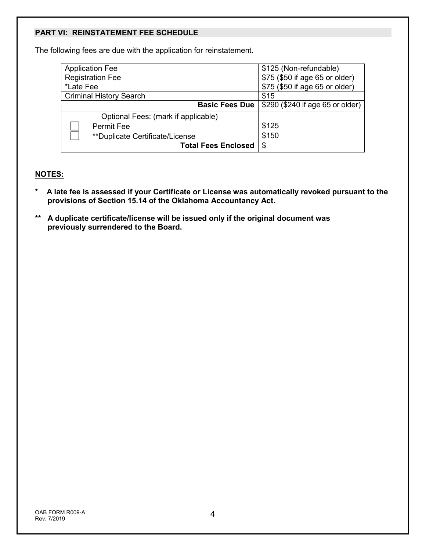## **PART VI: REINSTATEMENT FEE SCHEDULE**

The following fees are due with the application for reinstatement.

| <b>Application Fee</b>                  | \$125 (Non-refundable)           |
|-----------------------------------------|----------------------------------|
| <b>Registration Fee</b>                 | \$75 (\$50 if age 65 or older)   |
| *Late Fee                               | \$75 (\$50 if age 65 or older)   |
| <b>Criminal History Search</b>          | \$15                             |
| <b>Basic Fees Due</b>                   | \$290 (\$240 if age 65 or older) |
| Optional Fees: (mark if applicable)     |                                  |
| <b>Permit Fee</b>                       | \$125                            |
| <i>**</i> Duplicate Certificate/License | \$150                            |
| <b>Total Fees Enclosed</b>              | \$                               |

### **NOTES:**

- **\* A late fee is assessed if your Certificate or License was automatically revoked pursuant to the provisions of Section 15.14 of the Oklahoma Accountancy Act.**
- **\*\* A duplicate certificate/license will be issued only if the original document was previously surrendered to the Board.**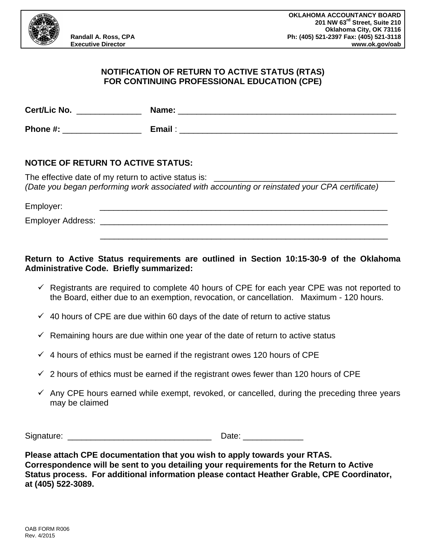

### **NOTIFICATION OF RETURN TO ACTIVE STATUS (RTAS) FOR CONTINUING PROFESSIONAL EDUCATION (CPE)**

| Cert/Lic No. | Name:  |
|--------------|--------|
| Phone #:     | Email: |

### **NOTICE OF RETURN TO ACTIVE STATUS:**

The effective date of my return to active status is: *(Date you began performing work associated with accounting or reinstated your CPA certificate)*

Employer: \_\_\_\_\_\_\_\_\_\_\_\_\_\_\_\_\_\_\_\_\_\_\_\_\_\_\_\_\_\_\_\_\_\_\_\_\_\_\_\_\_\_\_\_\_\_\_\_\_\_\_\_\_\_\_\_\_\_\_\_\_\_ Employer Address: \_\_\_\_\_\_\_\_\_\_\_\_\_\_\_\_\_\_\_\_\_\_\_\_\_\_\_\_\_\_\_\_\_\_\_\_\_\_\_\_\_\_\_\_\_\_\_\_\_\_\_\_\_\_\_\_\_\_\_\_\_\_

# **Return to Active Status requirements are outlined in Section 10:15-30-9 of the Oklahoma Administrative Code. Briefly summarized:**

 $\checkmark$  Registrants are required to complete 40 hours of CPE for each year CPE was not reported to the Board, either due to an exemption, revocation, or cancellation. Maximum - 120 hours.

\_\_\_\_\_\_\_\_\_\_\_\_\_\_\_\_\_\_\_\_\_\_\_\_\_\_\_\_\_\_\_\_\_\_\_\_\_\_\_\_\_\_\_\_\_\_\_\_\_\_\_\_\_\_\_\_\_\_\_\_\_\_

- $\checkmark$  40 hours of CPE are due within 60 days of the date of return to active status
- $\checkmark$  Remaining hours are due within one year of the date of return to active status
- $\checkmark$  4 hours of ethics must be earned if the registrant owes 120 hours of CPE
- $\checkmark$  2 hours of ethics must be earned if the registrant owes fewer than 120 hours of CPE
- $\checkmark$  Any CPE hours earned while exempt, revoked, or cancelled, during the preceding three years may be claimed

Signature: \_\_\_\_\_\_\_\_\_\_\_\_\_\_\_\_\_\_\_\_\_\_\_\_\_\_\_\_\_\_\_ Date: \_\_\_\_\_\_\_\_\_\_\_\_\_

**Please attach CPE documentation that you wish to apply towards your RTAS. Correspondence will be sent to you detailing your requirements for the Return to Active Status process. For additional information please contact Heather Grable, CPE Coordinator, at (405) 522-3089.**